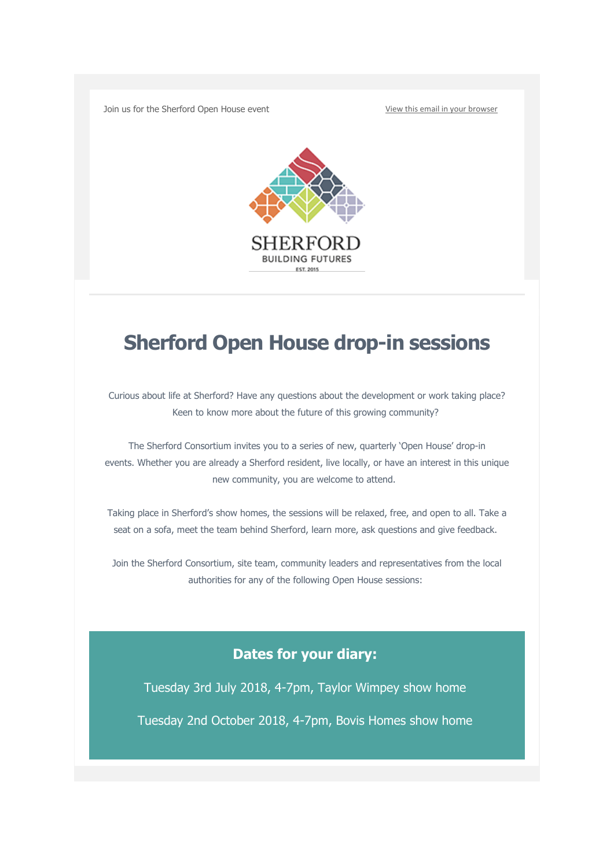Join us for the Sherford Open House event [View this email in your browser](https://mailchi.mp/sherford/invitation-to-sherford-open-house-drop-in-sessions?e=b149e19297)



## **Sherford Open House drop-in sessions**

Curious about life at Sherford? Have any questions about the development or work taking place? Keen to know more about the future of this growing community?

The Sherford Consortium invites you to a series of new, quarterly 'Open House' drop-in events. Whether you are already a Sherford resident, live locally, or have an interest in this unique new community, you are welcome to attend.

Taking place in Sherford's show homes, the sessions will be relaxed, free, and open to all. Take a seat on a sofa, meet the team behind Sherford, learn more, ask questions and give feedback.

Join the Sherford Consortium, site team, community leaders and representatives from the local authorities for any of the following Open House sessions:

## **Dates for your diary:**

Tuesday 3rd July 2018, 4-7pm, Taylor Wimpey show home Tuesday 2nd October 2018, 4-7pm, Bovis Homes show home